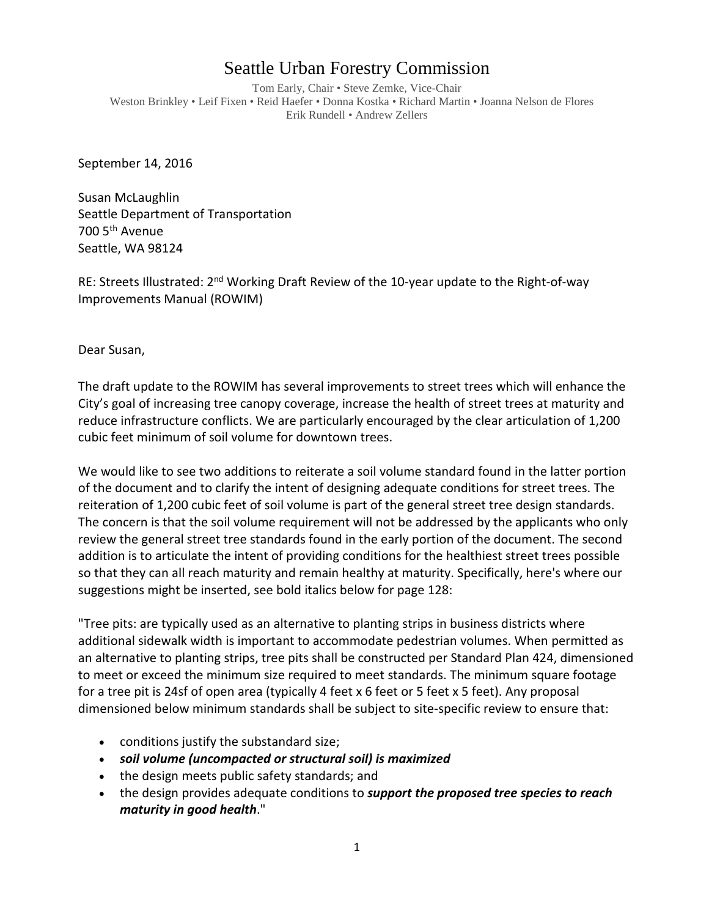## Seattle Urban Forestry Commission

Tom Early, Chair • Steve Zemke, Vice-Chair Weston Brinkley • Leif Fixen • Reid Haefer • Donna Kostka • Richard Martin • Joanna Nelson de Flores Erik Rundell • Andrew Zellers

September 14, 2016

Susan McLaughlin Seattle Department of Transportation 700 5<sup>th</sup> Avenue Seattle, WA 98124

RE: Streets Illustrated: 2<sup>nd</sup> Working Draft Review of the 10-year update to the Right-of-way Improvements Manual (ROWIM)

Dear Susan,

The draft update to the ROWIM has several improvements to street trees which will enhance the City's goal of increasing tree canopy coverage, increase the health of street trees at maturity and reduce infrastructure conflicts. We are particularly encouraged by the clear articulation of 1,200 cubic feet minimum of soil volume for downtown trees.

We would like to see two additions to reiterate a soil volume standard found in the latter portion of the document and to clarify the intent of designing adequate conditions for street trees. The reiteration of 1,200 cubic feet of soil volume is part of the general street tree design standards. The concern is that the soil volume requirement will not be addressed by the applicants who only review the general street tree standards found in the early portion of the document. The second addition is to articulate the intent of providing conditions for the healthiest street trees possible so that they can all reach maturity and remain healthy at maturity. Specifically, here's where our suggestions might be inserted, see bold italics below for page 128:

"Tree pits: are typically used as an alternative to planting strips in business districts where additional sidewalk width is important to accommodate pedestrian volumes. When permitted as an alternative to planting strips, tree pits shall be constructed per Standard Plan 424, dimensioned to meet or exceed the minimum size required to meet standards. The minimum square footage for a tree pit is 24sf of open area (typically 4 feet x 6 feet or 5 feet x 5 feet). Any proposal dimensioned below minimum standards shall be subject to site-specific review to ensure that:

- conditions justify the substandard size;
- *soil volume (uncompacted or structural soil) is maximized*
- the design meets public safety standards; and
- the design provides adequate conditions to *support the proposed tree species to reach maturity in good health*."